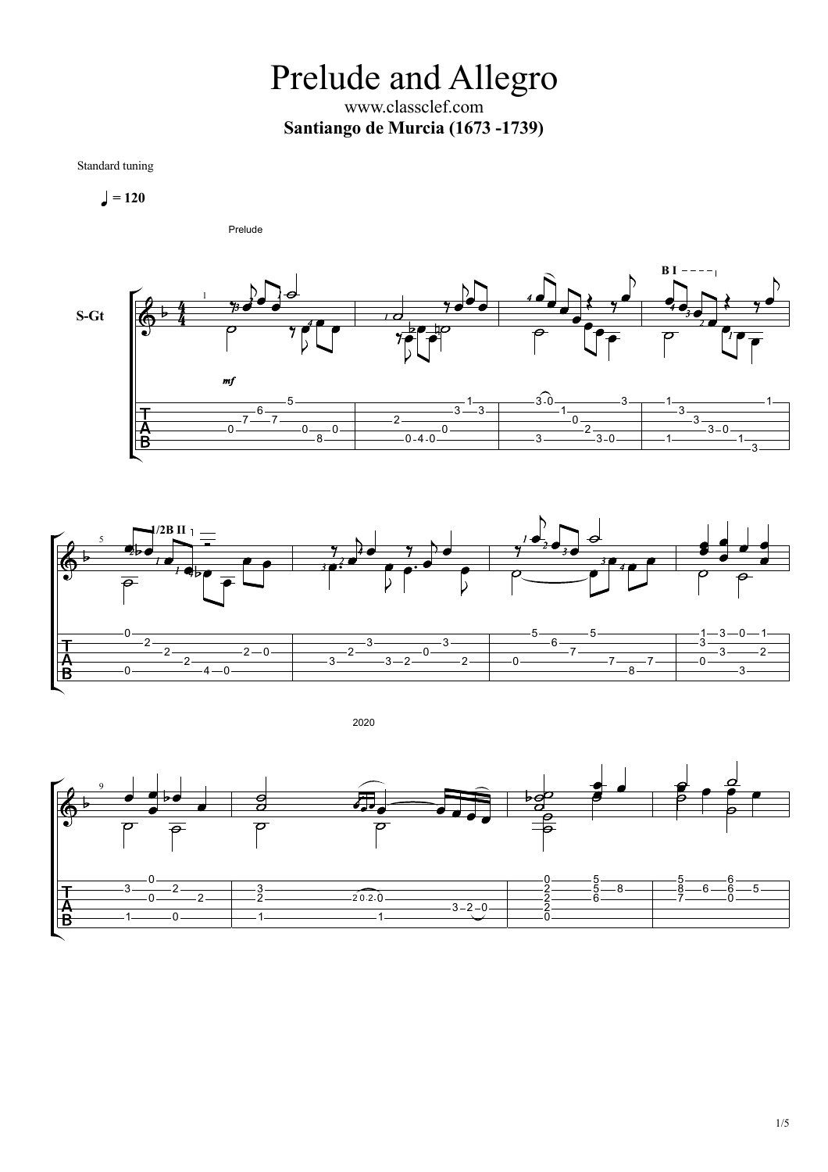Prelude and Allegro www.classclef.com **Santiango de Murcia (1673 -1739)**

Standard tuning

$$
\blacksquare = 120
$$





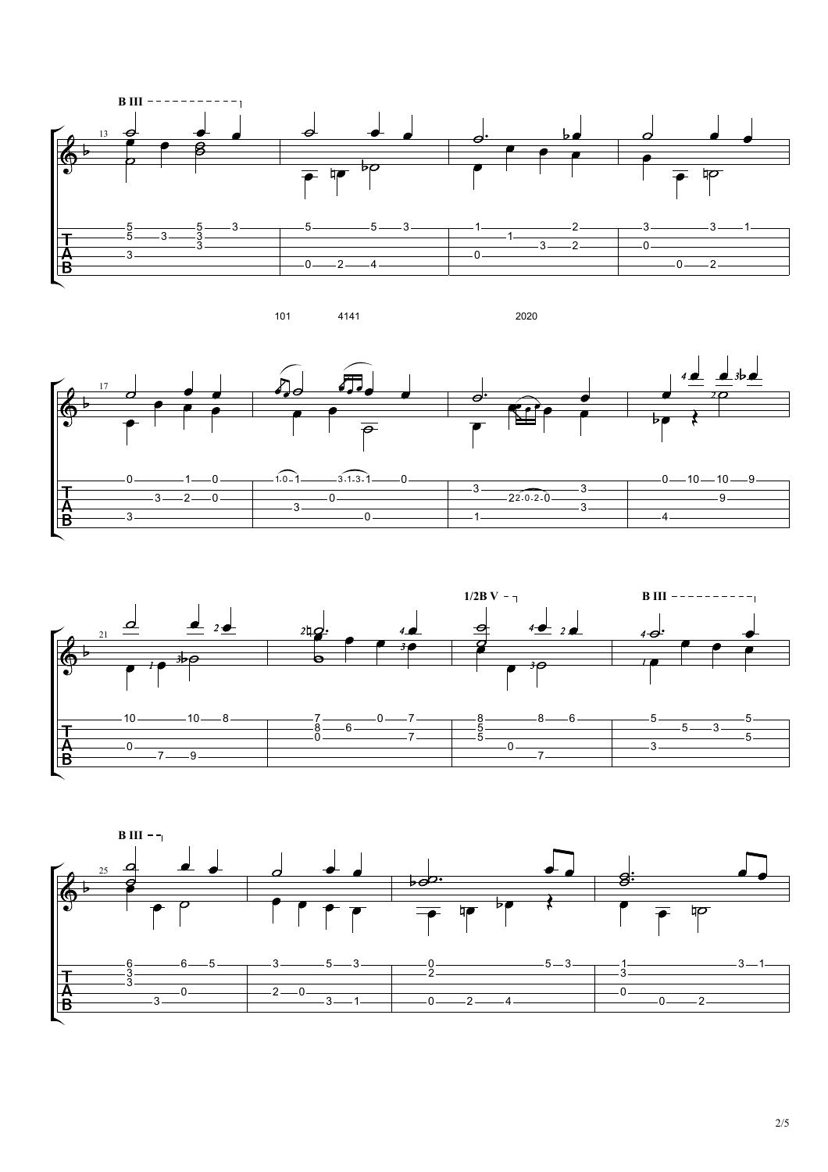







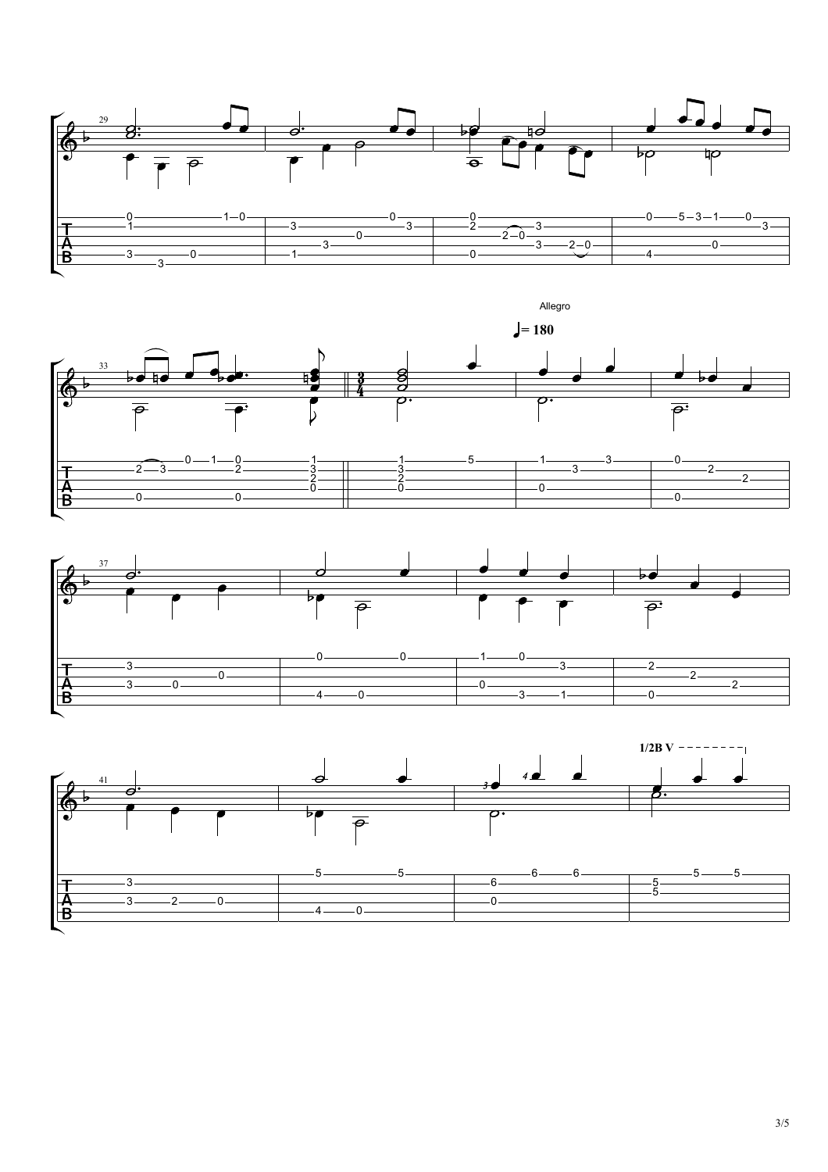





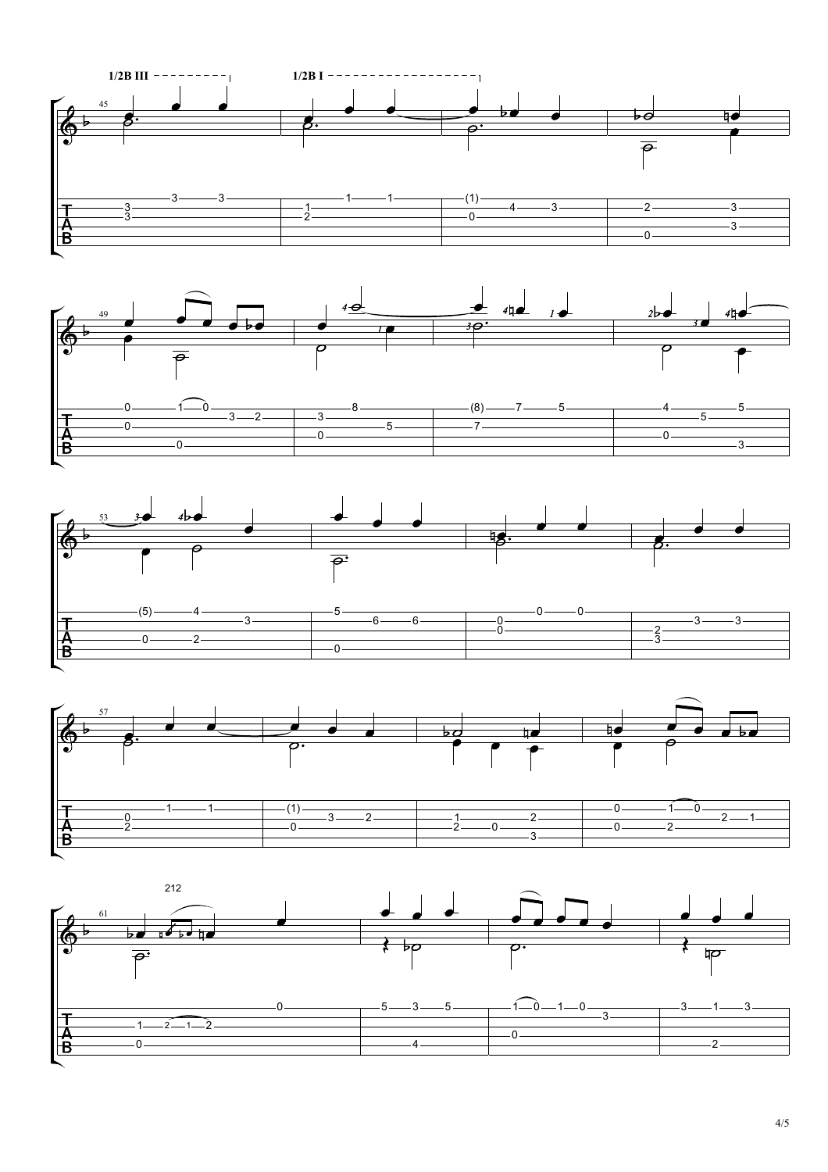